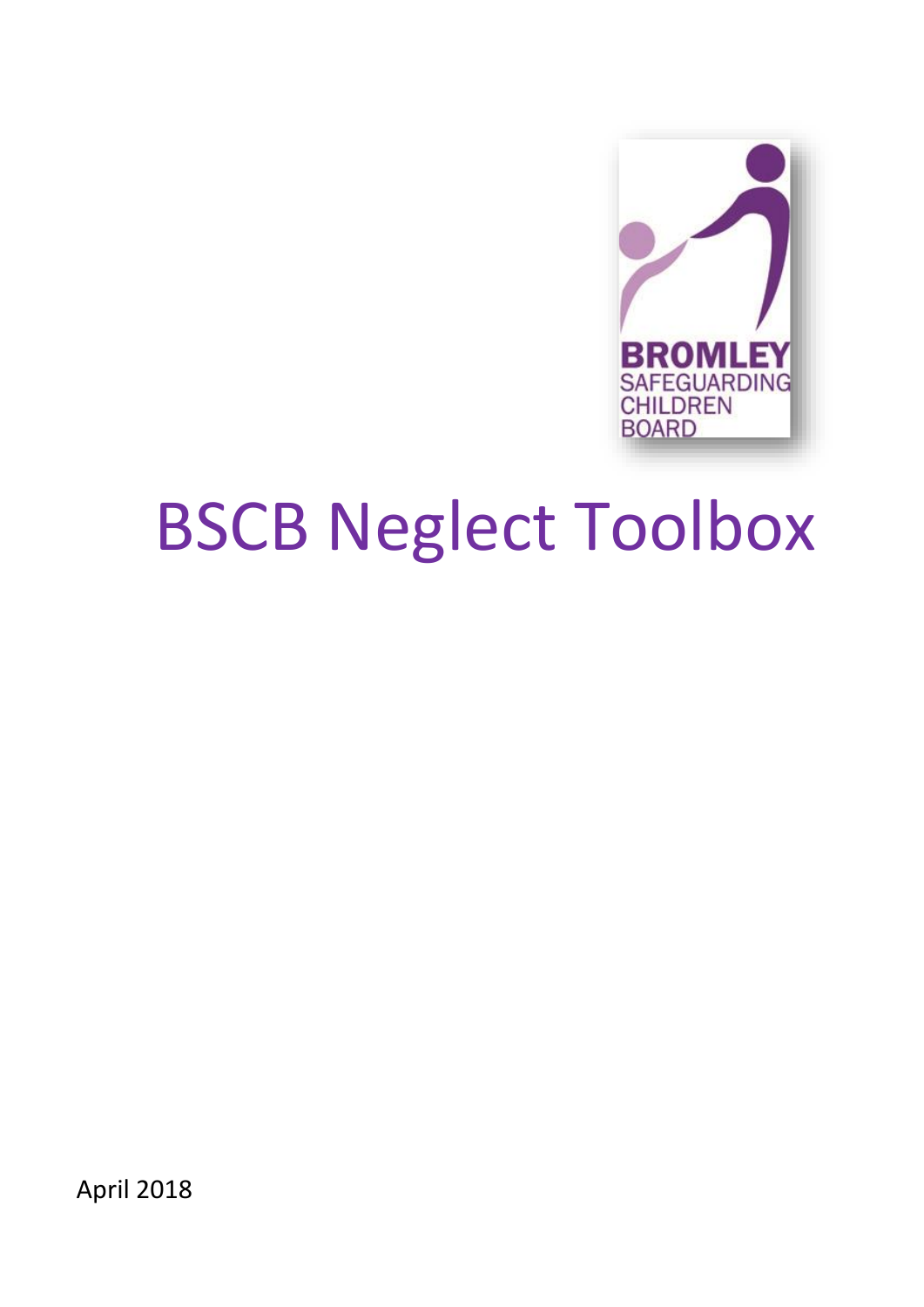

# BSCB Neglect Toolbox

April 2018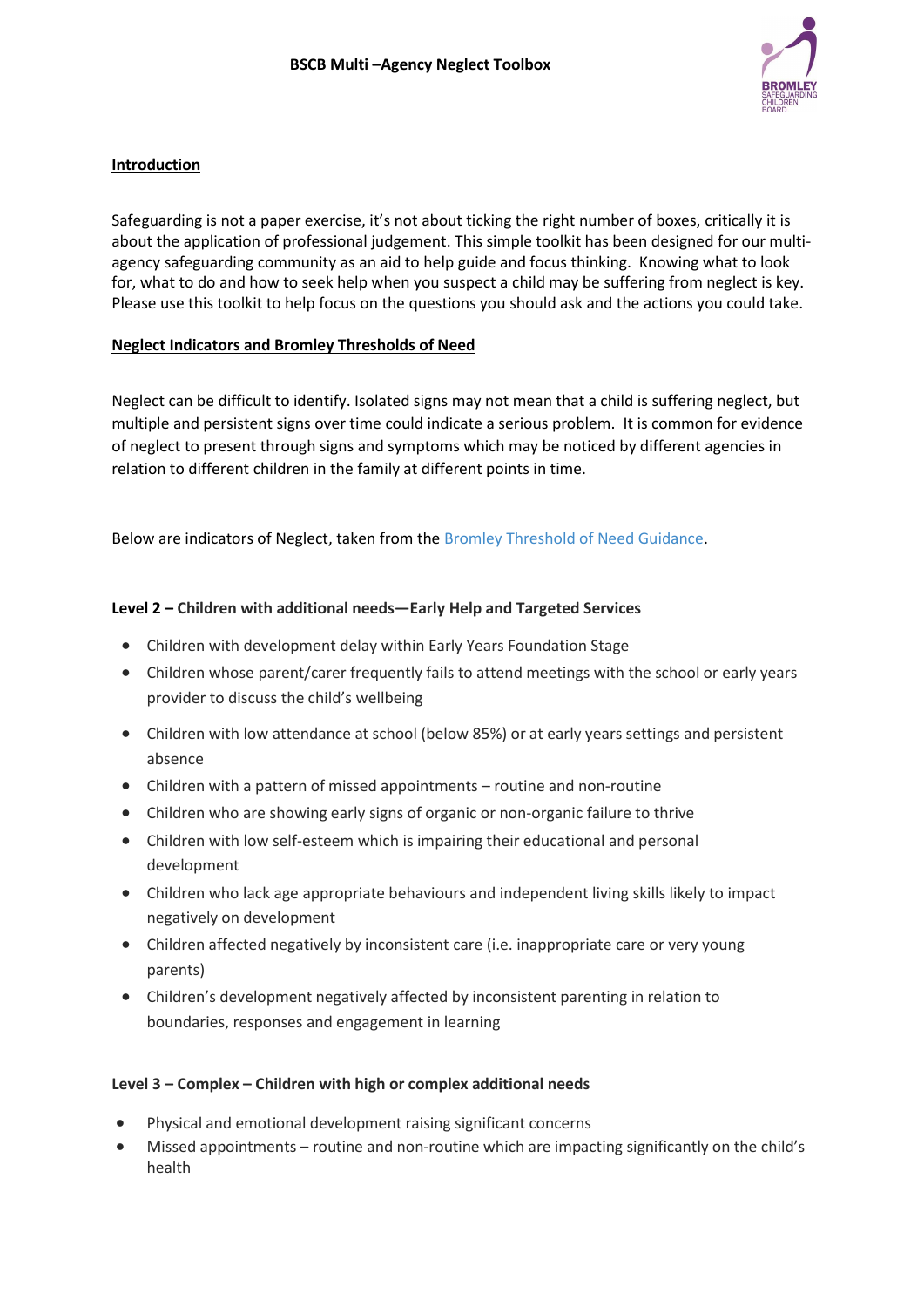

## **Introduction**

Safeguarding is not a paper exercise, it's not about ticking the right number of boxes, critically it is about the application of professional judgement. This simple toolkit has been designed for our multiagency safeguarding community as an aid to help guide and focus thinking. Knowing what to look for, what to do and how to seek help when you suspect a child may be suffering from neglect is key. Please use this toolkit to help focus on the questions you should ask and the actions you could take.

# **Neglect Indicators and Bromley Thresholds of Need**

Neglect can be difficult to identify. Isolated signs may not mean that a child is suffering neglect, but multiple and persistent signs over time could indicate a serious problem. It is common for evidence of neglect to present through signs and symptoms which may be noticed by different agencies in relation to different children in the family at different points in time.

Below are indicators of Neglect, taken from the [Bromley Threshold of Need Guidance.](https://media.inzu.net/f0e9b37b8c44e338f64ae38c6d41e267/mysite/articles/609/ThresholdsOfNeed2021-11%20FINAL%20Feb%2022.pdf)

# **Level 2 – Children with additional needs—Early Help and Targeted Services**

- Children with development delay within Early Years Foundation Stage
- Children whose parent/carer frequently fails to attend meetings with the school or early years provider to discuss the child's wellbeing
- Children with low attendance at school (below 85%) or at early years settings and persistent absence
- Children with a pattern of missed appointments routine and non-routine
- Children who are showing early signs of organic or non-organic failure to thrive
- Children with low self-esteem which is impairing their educational and personal development
- Children who lack age appropriate behaviours and independent living skills likely to impact negatively on development
- Children affected negatively by inconsistent care (i.e. inappropriate care or very young parents)
- Children's development negatively affected by inconsistent parenting in relation to boundaries, responses and engagement in learning

## **Level 3 – Complex – Children with high or complex additional needs**

- Physical and emotional development raising significant concerns
- Missed appointments routine and non-routine which are impacting significantly on the child's health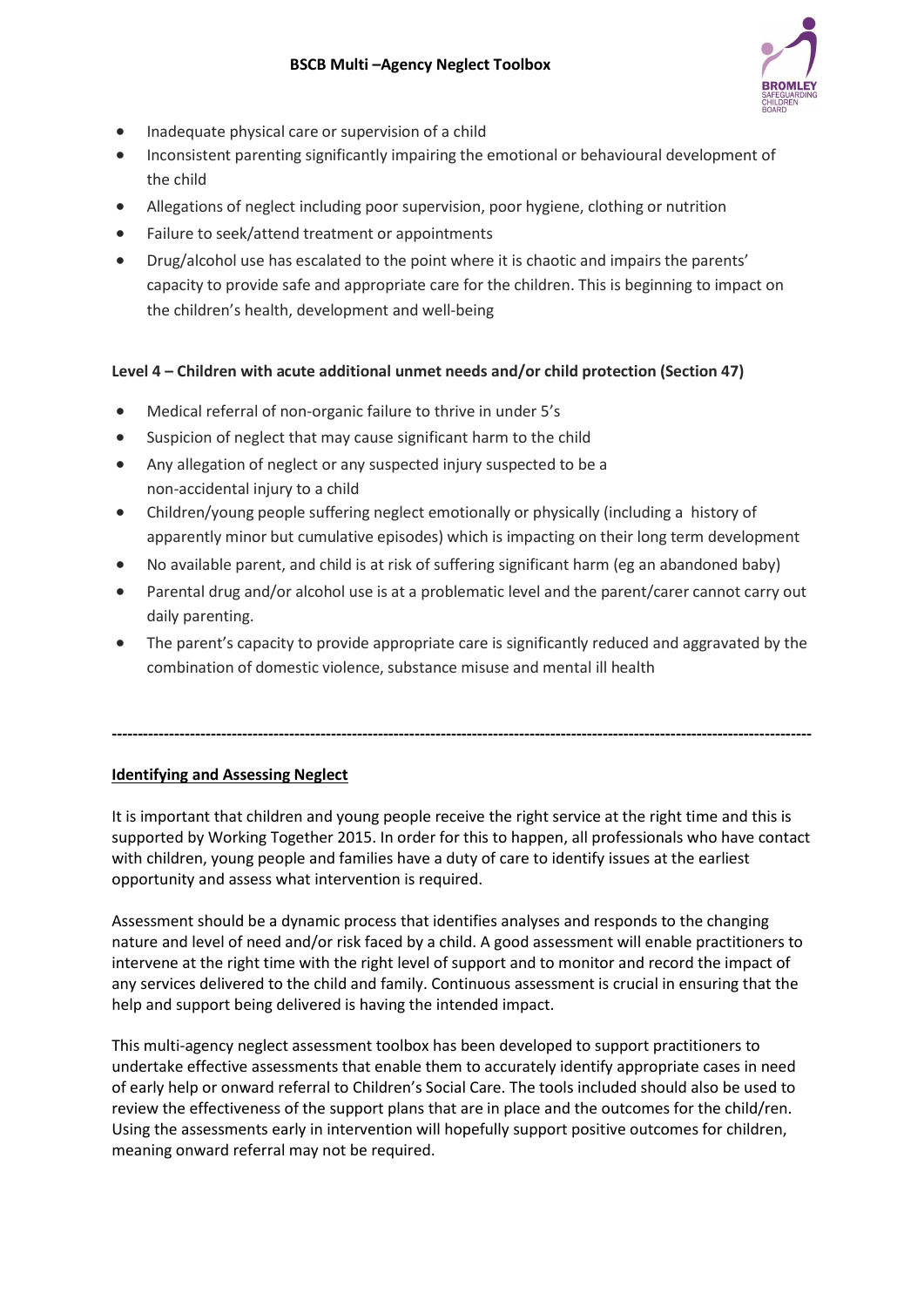

- Inadequate physical care or supervision of a child
- Inconsistent parenting significantly impairing the emotional or behavioural development of the child
- Allegations of neglect including poor supervision, poor hygiene, clothing or nutrition
- Failure to seek/attend treatment or appointments
- Drug/alcohol use has escalated to the point where it is chaotic and impairs the parents' capacity to provide safe and appropriate care for the children. This is beginning to impact on the children's health, development and well-being

# **Level 4 – Children with acute additional unmet needs and/or child protection (Section 47)**

- Medical referral of non-organic failure to thrive in under 5's
- Suspicion of neglect that may cause significant harm to the child
- Any allegation of neglect or any suspected injury suspected to be a non-accidental injury to a child
- Children/young people suffering neglect emotionally or physically (including a history of apparently minor but cumulative episodes) which is impacting on their long term development
- No available parent, and child is at risk of suffering significant harm (eg an abandoned baby)
- Parental drug and/or alcohol use is at a problematic level and the parent/carer cannot carry out daily parenting.
- The parent's capacity to provide appropriate care is significantly reduced and aggravated by the combination of domestic violence, substance misuse and mental ill health

**--------------------------------------------------------------------------------------------------------------------------------------**

# **Identifying and Assessing Neglect**

It is important that children and young people receive the right service at the right time and this is supported by Working Together 2015. In order for this to happen, all professionals who have contact with children, young people and families have a duty of care to identify issues at the earliest opportunity and assess what intervention is required.

Assessment should be a dynamic process that identifies analyses and responds to the changing nature and level of need and/or risk faced by a child. A good assessment will enable practitioners to intervene at the right time with the right level of support and to monitor and record the impact of any services delivered to the child and family. Continuous assessment is crucial in ensuring that the help and support being delivered is having the intended impact.

This multi-agency neglect assessment toolbox has been developed to support practitioners to undertake effective assessments that enable them to accurately identify appropriate cases in need of early help or onward referral to Children's Social Care. The tools included should also be used to review the effectiveness of the support plans that are in place and the outcomes for the child/ren. Using the assessments early in intervention will hopefully support positive outcomes for children, meaning onward referral may not be required.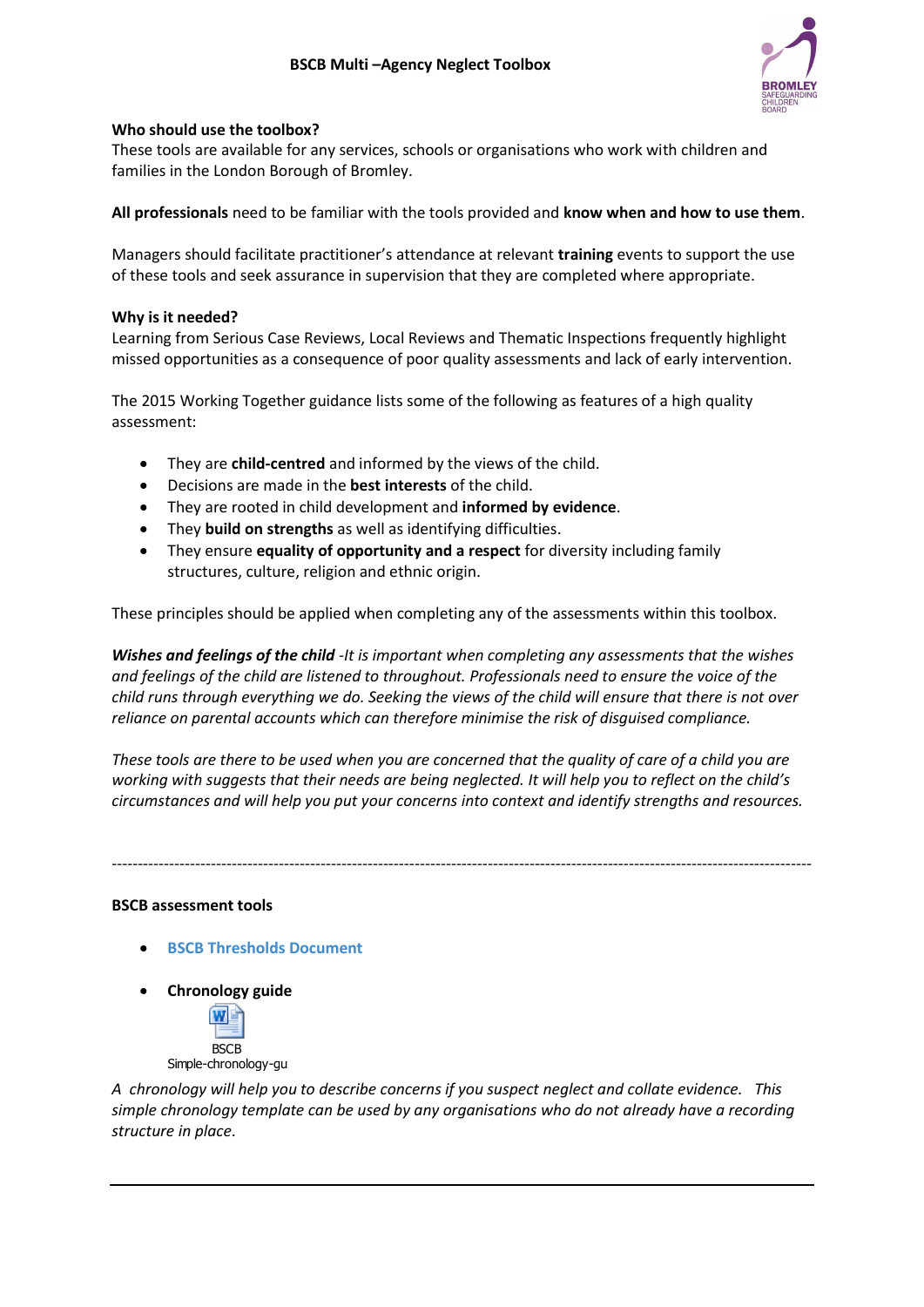

#### **Who should use the toolbox?**

These tools are available for any services, schools or organisations who work with children and families in the London Borough of Bromley.

**All professionals** need to be familiar with the tools provided and **know when and how to use them**.

Managers should facilitate practitioner's attendance at relevant **training** events to support the use of these tools and seek assurance in supervision that they are completed where appropriate.

#### **Why is it needed?**

Learning from Serious Case Reviews, Local Reviews and Thematic Inspections frequently highlight missed opportunities as a consequence of poor quality assessments and lack of early intervention.

The 2015 Working Together guidance lists some of the following as features of a high quality assessment:

- They are **child-centred** and informed by the views of the child.
- Decisions are made in the **best interests** of the child.
- They are rooted in child development and **informed by evidence**.
- They **build on strengths** as well as identifying difficulties.
- They ensure **equality of opportunity and a respect** for diversity including family structures, culture, religion and ethnic origin.

These principles should be applied when completing any of the assessments within this toolbox.

*Wishes and feelings of the child -It is important when completing any assessments that the wishes and feelings of the child are listened to throughout. Professionals need to ensure the voice of the child runs through everything we do. Seeking the views of the child will ensure that there is not over reliance on parental accounts which can therefore minimise the risk of disguised compliance.*

*These tools are there to be used when you are concerned that the quality of care of a child you are working with suggests that their needs are being neglected. It will help you to reflect on the child's circumstances and will help you put your concerns into context and identify strengths and resources.*

--------------------------------------------------------------------------------------------------------------------------------------

#### **BSCB assessment tools**

- **[BSCB Thresholds Document](https://media.inzu.net/f0e9b37b8c44e338f64ae38c6d41e267/mysite/articles/609/ThresholdsOfNeed2021-11%20FINAL%20Feb%2022.pdf)**
- **Chronology guide**



*A chronology will help you to describe concerns if you suspect neglect and collate evidence. This simple chronology template can be used by any organisations who do not already have a recording structure in place*.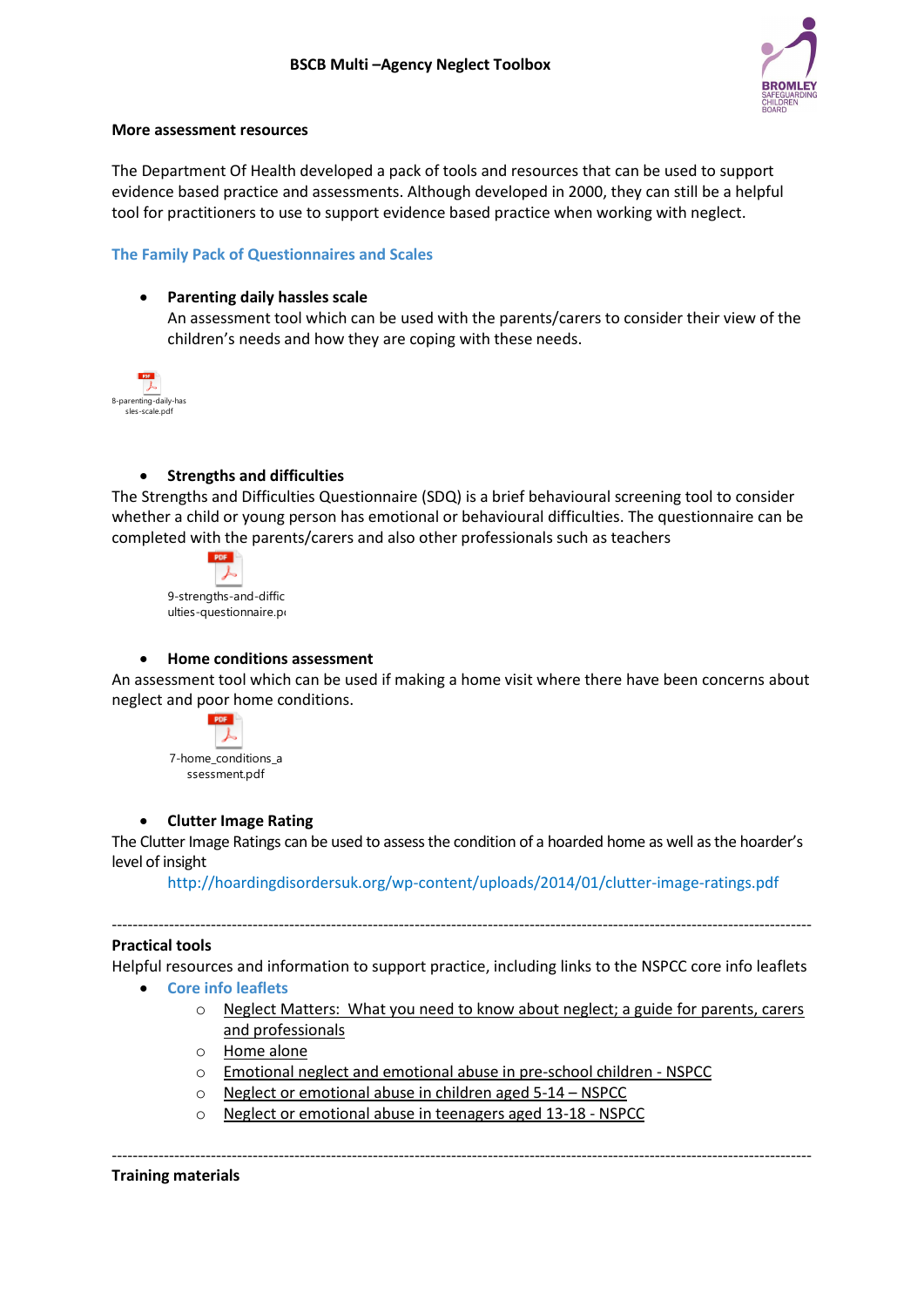

#### **More assessment resources**

The Department Of Health developed a pack of tools and resources that can be used to support evidence based practice and assessments. Although developed in 2000, they can still be a helpful tool for practitioners to use to support evidence based practice when working with neglect.

## **[The Family Pack of Questionnaires and Scales](http://www.londoncp.co.uk/chapters/appendix_5.html)**

#### • **Parenting daily hassles scale**

An assessment tool which can be used with the parents/carers to consider their view of the children's needs and how they are coping with these needs.



### • **Strengths and difficulties**

The Strengths and Difficulties Questionnaire (SDQ) is a brief behavioural screening tool to consider whether a child or young person has emotional or behavioural difficulties. The questionnaire can be completed with the parents/carers and also other professionals such as teachers



#### • **Home conditions assessment**

An assessment tool which can be used if making a home visit where there have been concerns about neglect and poor home conditions.



## • **Clutter Image Rating**

The Clutter Image Ratings can be used to assess the condition of a hoarded home as well as the hoarder's level of insight

<http://hoardingdisordersuk.org/wp-content/uploads/2014/01/clutter-image-ratings.pdf>

#### **Practical tools**

Helpful resources and information to support practice, including links to the NSPCC core info leaflets

--------------------------------------------------------------------------------------------------------------------------------------

- **[Core info leaflets](https://www.nspcc.org.uk/services-and-resources/research-and-resources/leaflets-posters/)**
	- $\circ$  Neglect Matters: What you need to know about neglect; a guide for parents, carers [and professionals](https://www.nspcc.org.uk/globalassets/documents/advice-and-info/neglect-matters.pdf?_t_id=1B2M2Y8AsgTpgAmY7PhCfg%3d%3d&_t_q=Neglect&_t_tags=language%3aen%2csiteid%3a7f1b9313-bf5e-4415-abf6-aaf87298c667&_t_ip=80.5.88.70&_t_hit.id=Nspcc_Web_Models_Media_GenericMedia/_ef7a2ab0-72eb-4d2e-8cb2-02e0a7500f40&_t_hit.pos=2)
	- o [Home alone](https://www.nspcc.org.uk/preventing-abuse/keeping-children-safe/leaving-child-home-alone/)
	- o [Emotional neglect and emotional abuse in pre-school children -](https://www.nspcc.org.uk/globalassets/documents/advice-and-info/core-info-emotional-neglect-abuse.pdf) NSPCC
	- o [Neglect or emotional abuse in children aged 5-14](https://www.nspcc.org.uk/globalassets/documents/advice-and-info/core-info-emotional-neglect-5-14.pdf)  NSPCC
	- o [Neglect or emotional abuse in teenagers aged 13-18 -](https://www.nspcc.org.uk/globalassets/documents/advice-and-info/core-info-neglect-emotional-abuse-teenagers-13-18.pdf) NSPCC

-------------------------------------------------------------------------------------------------------------------------------------- **Training materials**